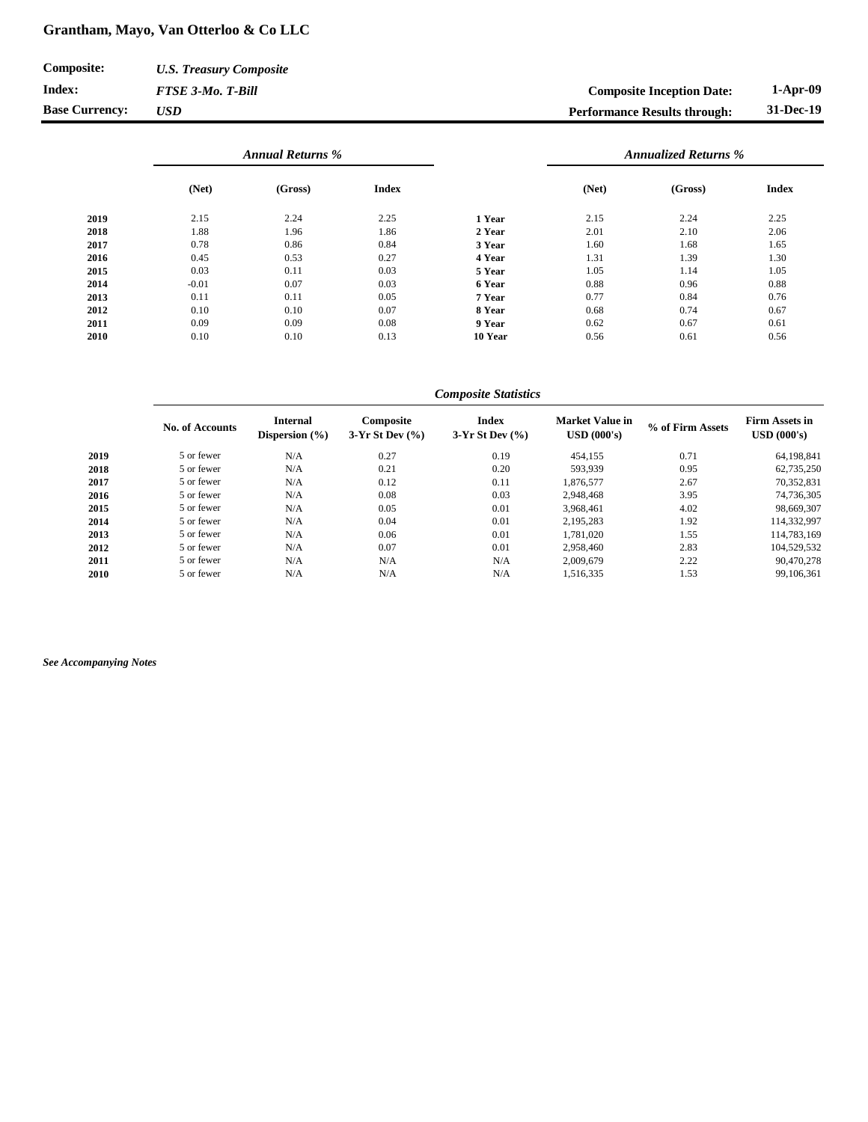## **Grantham, Mayo, Van Otterloo & Co LLC**

| <b>Composite:</b>     | <b>U.S. Treasury Composite</b> |                                     |           |
|-----------------------|--------------------------------|-------------------------------------|-----------|
| Index:                | <b>FTSE 3-Mo. T-Bill</b>       | <b>Composite Inception Date:</b>    | 1-Apr-09  |
| <b>Base Currency:</b> | <b>USD</b>                     | <b>Performance Results through:</b> | 31-Dec-19 |

|      | <b>Annual Returns %</b> |         |              |         | <b>Annualized Returns %</b> |         |              |
|------|-------------------------|---------|--------------|---------|-----------------------------|---------|--------------|
|      | (Net)                   | (Gross) | <b>Index</b> |         | (Net)                       | (Gross) | <b>Index</b> |
| 2019 | 2.15                    | 2.24    | 2.25         | 1 Year  | 2.15                        | 2.24    | 2.25         |
| 2018 | 1.88                    | 1.96    | 1.86         | 2 Year  | 2.01                        | 2.10    | 2.06         |
| 2017 | 0.78                    | 0.86    | 0.84         | 3 Year  | 1.60                        | 1.68    | 1.65         |
| 2016 | 0.45                    | 0.53    | 0.27         | 4 Year  | 1.31                        | 1.39    | 1.30         |
| 2015 | 0.03                    | 0.11    | 0.03         | 5 Year  | 1.05                        | 1.14    | 1.05         |
| 2014 | $-0.01$                 | 0.07    | 0.03         | 6 Year  | 0.88                        | 0.96    | 0.88         |
| 2013 | 0.11                    | 0.11    | 0.05         | 7 Year  | 0.77                        | 0.84    | 0.76         |
| 2012 | 0.10                    | 0.10    | 0.07         | 8 Year  | 0.68                        | 0.74    | 0.67         |
| 2011 | 0.09                    | 0.09    | 0.08         | 9 Year  | 0.62                        | 0.67    | 0.61         |
| 2010 | 0.10                    | 0.10    | 0.13         | 10 Year | 0.56                        | 0.61    | 0.56         |

## **No. of Accounts Internal Dispersion (%) Composite 3-Yr St Dev (%) Index 3-Yr St Dev (%) Market Value in USD (000's) % of Firm Assets Firm Assets in USD (000's) 2019** 5 or fewer N/A 0.27 0.19 454,155 0.71 64,198,841 **2018** 5 or fewer N/A 0.21 0.20 593,939 0.95 62,735,250 **2017** 5 or fewer N/A 0.12 0.11 1,876,577 2.67 70,352,831 **2016** 5 or fewer N/A 0.08 0.03 2,948,468 3.95 74,736,305 **2015** 5 or fewer N/A 0.05 0.01 3,968,461 4.02 98,669,307 **2014** 5 or fewer N/A 0.04 0.01 2,195,283 1.92 114,332,997 **2013** 5 or fewer N/A 0.06 0.01 1,781,020 1.55 114,783,169 **2012** 5 or fewer N/A 0.07 0.01 2,958,460 2.83 104,529,532 **2011** 5 or fewer N/A N/A N/A N/A 2,009,679 2.22 90,470,278 **2010** 5 or fewer N/A N/A N/A N/A 1,516,335 1.53 99,106,361 *Composite Statistics*

*See Accompanying Notes*